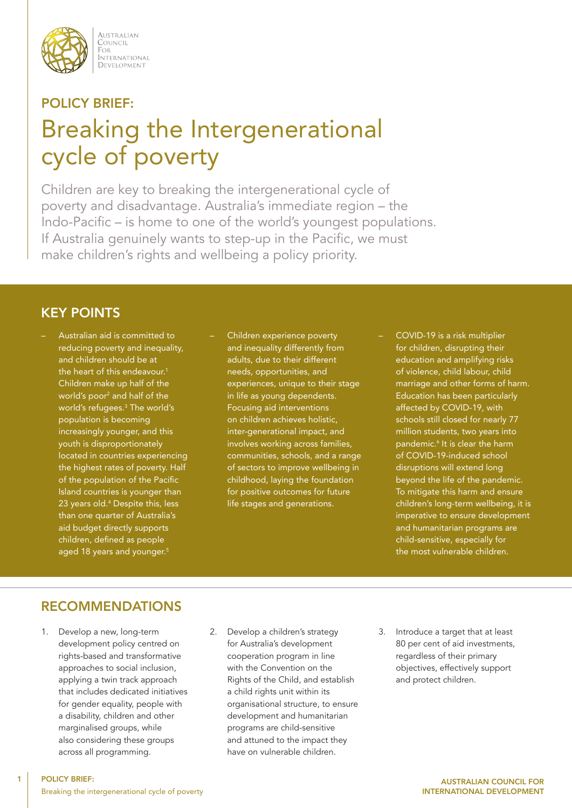

AUSTRALIAN COUNCIL FOR i or<br>International DEVELOPMENT

# POLICY BRIEF: Breaking the Intergenerational cycle of poverty

Children are key to breaking the intergenerational cycle of poverty and disadvantage. Australia's immediate region – the Indo-Pacific – is home to one of the world's youngest populations. If Australia genuinely wants to step-up in the Pacific, we must make children's rights and wellbeing a policy priority.

# KEY POINTS

– Australian aid is committed to reducing poverty and inequality, and children should be at the heart of this endeavour.<sup>1</sup> Children make up half of the world's poor2 and half of the world's refugees.3 The world's population is becoming increasingly younger, and this youth is disproportionately located in countries experiencing the highest rates of poverty. Half of the population of the Pacific Island countries is younger than 23 years old.4 Despite this, less than one quarter of Australia's aid budget directly supports children, defined as people aged 18 years and younger.<sup>5</sup>

- Children experience poverty and inequality differently from adults, due to their different needs, opportunities, and experiences, unique to their stage in life as young dependents. Focusing aid interventions on children achieves holistic, inter-generational impact, and involves working across families, communities, schools, and a range of sectors to improve wellbeing in childhood, laying the foundation for positive outcomes for future life stages and generations.
- COVID-19 is a risk multiplier for children, disrupting their education and amplifying risks of violence, child labour, child marriage and other forms of harm. Education has been particularly affected by COVID-19, with schools still closed for nearly 77 million students, two years into pandemic.6 It is clear the harm of COVID-19-induced school disruptions will extend long beyond the life of the pandemic. To mitigate this harm and ensure children's long-term wellbeing, it is imperative to ensure development and humanitarian programs are child-sensitive, especially for the most vulnerable children.

# RECOMMENDATIONS

1. Develop a new, long-term development policy centred on rights-based and transformative approaches to social inclusion, applying a twin track approach that includes dedicated initiatives for gender equality, people with a disability, children and other marginalised groups, while also considering these groups across all programming.

- 2. Develop a children's strategy for Australia's development cooperation program in line with the Convention on the Rights of the Child, and establish a child rights unit within its organisational structure, to ensure development and humanitarian programs are child-sensitive and attuned to the impact they have on vulnerable children.
- 3. Introduce a target that at least 80 per cent of aid investments, regardless of their primary objectives, effectively support and protect children.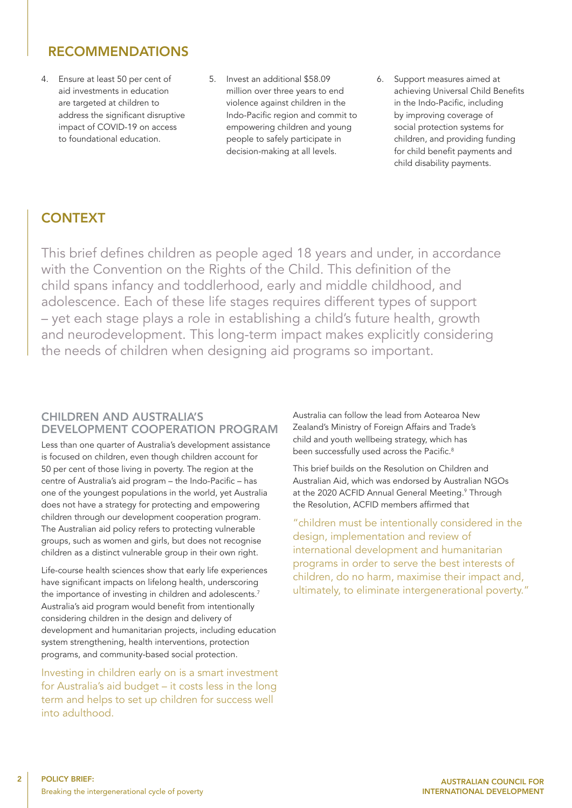## RECOMMENDATIONS

- 4. Ensure at least 50 per cent of aid investments in education are targeted at children to address the significant disruptive impact of COVID-19 on access to foundational education.
- 5. Invest an additional \$58.09 million over three years to end violence against children in the Indo-Pacific region and commit to empowering children and young people to safely participate in decision-making at all levels.
- 6. Support measures aimed at achieving Universal Child Benefits in the Indo-Pacific, including by improving coverage of social protection systems for children, and providing funding for child benefit payments and child disability payments.

# **CONTEXT**

This brief defines children as people aged 18 years and under, in accordance with the Convention on the Rights of the Child. This definition of the child spans infancy and toddlerhood, early and middle childhood, and adolescence. Each of these life stages requires different types of support – yet each stage plays a role in establishing a child's future health, growth and neurodevelopment. This long-term impact makes explicitly considering the needs of children when designing aid programs so important.

#### CHILDREN AND AUSTRALIA'S DEVELOPMENT COOPERATION PROGRAM

Less than one quarter of Australia's development assistance is focused on children, even though children account for 50 per cent of those living in poverty. The region at the centre of Australia's aid program – the Indo-Pacific – has one of the youngest populations in the world, yet Australia does not have a strategy for protecting and empowering children through our development cooperation program. The Australian aid policy refers to protecting vulnerable groups, such as women and girls, but does not recognise children as a distinct vulnerable group in their own right.

Life-course health sciences show that early life experiences have significant impacts on lifelong health, underscoring the importance of investing in children and adolescents.<sup>7</sup> Australia's aid program would benefit from intentionally considering children in the design and delivery of development and humanitarian projects, including education system strengthening, health interventions, protection programs, and community-based social protection.

Investing in children early on is a smart investment for Australia's aid budget – it costs less in the long term and helps to set up children for success well into adulthood.

Australia can follow the lead from Aotearoa New Zealand's Ministry of Foreign Affairs and Trade's child and youth wellbeing strategy, which has been successfully used across the Pacific.<sup>8</sup>

This brief builds on the Resolution on Children and Australian Aid, which was endorsed by Australian NGOs at the 2020 ACFID Annual General Meeting.<sup>9</sup> Through the Resolution, ACFID members affirmed that

"children must be intentionally considered in the design, implementation and review of international development and humanitarian programs in order to serve the best interests of children, do no harm, maximise their impact and, ultimately, to eliminate intergenerational poverty."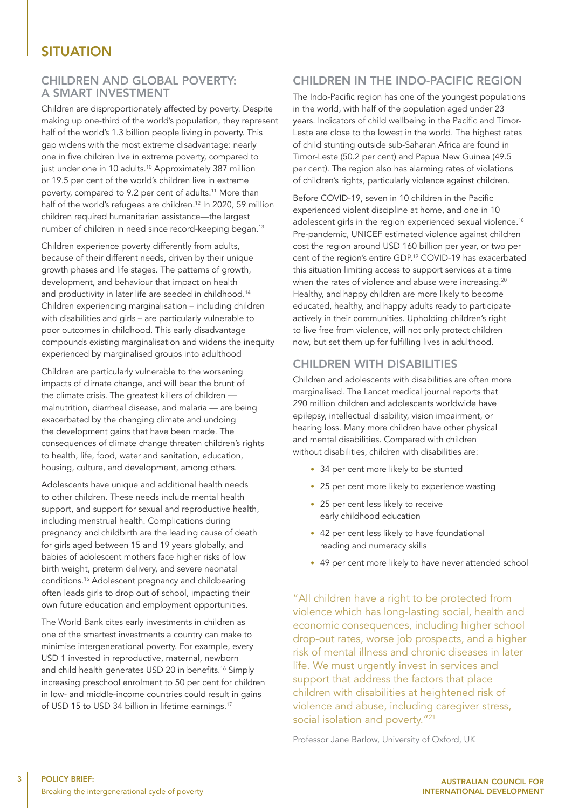## **SITUATION**

#### CHILDREN AND GLOBAL POVERTY: A SMART INVESTMENT

Children are disproportionately affected by poverty. Despite making up one-third of the world's population, they represent half of the world's 1.3 billion people living in poverty. This gap widens with the most extreme disadvantage: nearly one in five children live in extreme poverty, compared to just under one in 10 adults.<sup>10</sup> Approximately 387 million or 19.5 per cent of the world's children live in extreme poverty, compared to 9.2 per cent of adults.<sup>11</sup> More than half of the world's refugees are children.<sup>12</sup> In 2020, 59 million children required humanitarian assistance—the largest number of children in need since record-keeping began.<sup>13</sup>

Children experience poverty differently from adults, because of their different needs, driven by their unique growth phases and life stages. The patterns of growth, development, and behaviour that impact on health and productivity in later life are seeded in childhood.<sup>14</sup> Children experiencing marginalisation – including children with disabilities and girls – are particularly vulnerable to poor outcomes in childhood. This early disadvantage compounds existing marginalisation and widens the inequity experienced by marginalised groups into adulthood

Children are particularly vulnerable to the worsening impacts of climate change, and will bear the brunt of the climate crisis. The greatest killers of children malnutrition, diarrheal disease, and malaria — are being exacerbated by the changing climate and undoing the development gains that have been made. The consequences of climate change threaten children's rights to health, life, food, water and sanitation, education, housing, culture, and development, among others.

Adolescents have unique and additional health needs to other children. These needs include mental health support, and support for sexual and reproductive health, including menstrual health. Complications during pregnancy and childbirth are the leading cause of death for girls aged between 15 and 19 years globally, and babies of adolescent mothers face higher risks of low birth weight, preterm delivery, and severe neonatal conditions.15 Adolescent pregnancy and childbearing often leads girls to drop out of school, impacting their own future education and employment opportunities.

The World Bank cites early investments in children as one of the smartest investments a country can make to minimise intergenerational poverty. For example, every USD 1 invested in reproductive, maternal, newborn and child health generates USD 20 in benefits.<sup>16</sup> Simply increasing preschool enrolment to 50 per cent for children in low- and middle-income countries could result in gains of USD 15 to USD 34 billion in lifetime earnings.<sup>17</sup>

#### CHILDREN IN THE INDO-PACIFIC REGION

The Indo-Pacific region has one of the youngest populations in the world, with half of the population aged under 23 years. Indicators of child wellbeing in the Pacific and Timor-Leste are close to the lowest in the world. The highest rates of child stunting outside sub-Saharan Africa are found in Timor-Leste (50.2 per cent) and Papua New Guinea (49.5 per cent). The region also has alarming rates of violations of children's rights, particularly violence against children.

Before COVID-19, seven in 10 children in the Pacific experienced violent discipline at home, and one in 10 adolescent girls in the region experienced sexual violence.<sup>18</sup> Pre-pandemic, UNICEF estimated violence against children cost the region around USD 160 billion per year, or two per cent of the region's entire GDP.<sup>19</sup> COVID-19 has exacerbated this situation limiting access to support services at a time when the rates of violence and abuse were increasing.<sup>20</sup> Healthy, and happy children are more likely to become educated, healthy, and happy adults ready to participate actively in their communities. Upholding children's right to live free from violence, will not only protect children now, but set them up for fulfilling lives in adulthood.

#### CHILDREN WITH DISABILITIES

Children and adolescents with disabilities are often more marginalised. The Lancet medical journal reports that 290 million children and adolescents worldwide have epilepsy, intellectual disability, vision impairment, or hearing loss. Many more children have other physical and mental disabilities. Compared with children without disabilities, children with disabilities are:

- 34 per cent more likely to be stunted
- 25 per cent more likely to experience wasting
- 25 per cent less likely to receive early childhood education
- 42 per cent less likely to have foundational reading and numeracy skills
- 49 per cent more likely to have never attended school

"All children have a right to be protected from violence which has long-lasting social, health and economic consequences, including higher school drop-out rates, worse job prospects, and a higher risk of mental illness and chronic diseases in later life. We must urgently invest in services and support that address the factors that place children with disabilities at heightened risk of violence and abuse, including caregiver stress, social isolation and poverty."<sup>21</sup>

Professor Jane Barlow, University of Oxford, UK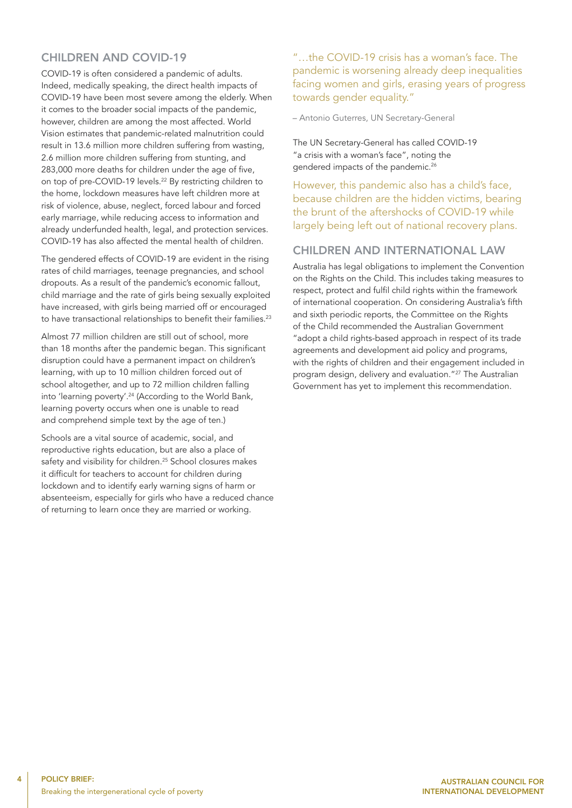## CHILDREN AND COVID-19

COVID-19 is often considered a pandemic of adults. Indeed, medically speaking, the direct health impacts of COVID-19 have been most severe among the elderly. When it comes to the broader social impacts of the pandemic, however, children are among the most affected. World Vision estimates that pandemic-related malnutrition could result in 13.6 million more children suffering from wasting, 2.6 million more children suffering from stunting, and 283,000 more deaths for children under the age of five, on top of pre-COVID-19 levels.<sup>22</sup> By restricting children to the home, lockdown measures have left children more at risk of violence, abuse, neglect, forced labour and forced early marriage, while reducing access to information and already underfunded health, legal, and protection services. COVID-19 has also affected the mental health of children.

The gendered effects of COVID-19 are evident in the rising rates of child marriages, teenage pregnancies, and school dropouts. As a result of the pandemic's economic fallout, child marriage and the rate of girls being sexually exploited have increased, with girls being married off or encouraged to have transactional relationships to benefit their families.<sup>23</sup>

Almost 77 million children are still out of school, more than 18 months after the pandemic began. This significant disruption could have a permanent impact on children's learning, with up to 10 million children forced out of school altogether, and up to 72 million children falling into 'learning poverty'.24 (According to the World Bank, learning poverty occurs when one is unable to read and comprehend simple text by the age of ten.)

Schools are a vital source of academic, social, and reproductive rights education, but are also a place of safety and visibility for children.<sup>25</sup> School closures makes it difficult for teachers to account for children during lockdown and to identify early warning signs of harm or absenteeism, especially for girls who have a reduced chance of returning to learn once they are married or working.

"…the COVID-19 crisis has a woman's face. The pandemic is worsening already deep inequalities facing women and girls, erasing years of progress towards gender equality."

– Antonio Guterres, UN Secretary-General

The UN Secretary-General has called COVID-19 "a crisis with a woman's face", noting the gendered impacts of the pandemic.<sup>26</sup>

However, this pandemic also has a child's face, because children are the hidden victims, bearing the brunt of the aftershocks of COVID-19 while largely being left out of national recovery plans.

#### CHILDREN AND INTERNATIONAL LAW

Australia has legal obligations to implement the Convention on the Rights on the Child. This includes taking measures to respect, protect and fulfil child rights within the framework of international cooperation. On considering Australia's fifth and sixth periodic reports, the Committee on the Rights of the Child recommended the Australian Government "adopt a child rights-based approach in respect of its trade agreements and development aid policy and programs, with the rights of children and their engagement included in program design, delivery and evaluation."27 The Australian Government has yet to implement this recommendation.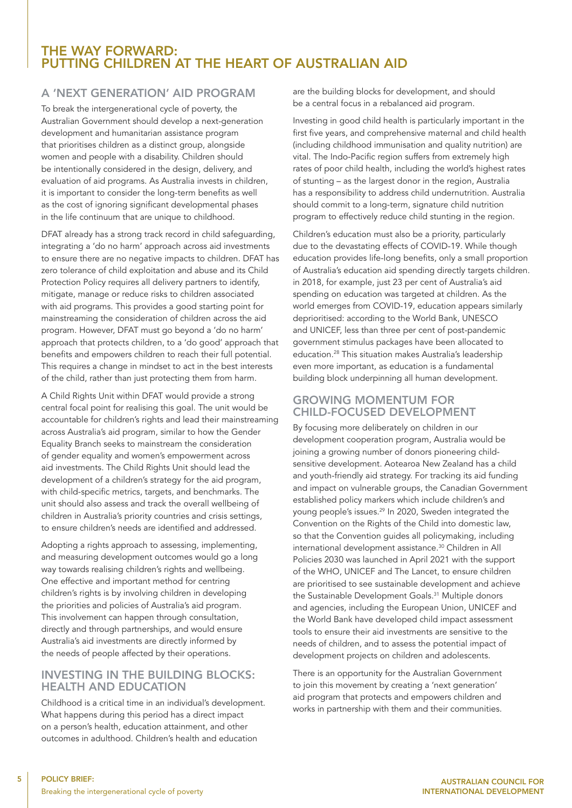## THE WAY FORWARD: PUTTING CHILDREN AT THE HEART OF AUSTRALIAN AID

### A 'NEXT GENERATION' AID PROGRAM

To break the intergenerational cycle of poverty, the Australian Government should develop a next-generation development and humanitarian assistance program that prioritises children as a distinct group, alongside women and people with a disability. Children should be intentionally considered in the design, delivery, and evaluation of aid programs. As Australia invests in children, it is important to consider the long-term benefits as well as the cost of ignoring significant developmental phases in the life continuum that are unique to childhood.

DFAT already has a strong track record in child safeguarding, integrating a 'do no harm' approach across aid investments to ensure there are no negative impacts to children. DFAT has zero tolerance of child exploitation and abuse and its Child Protection Policy requires all delivery partners to identify, mitigate, manage or reduce risks to children associated with aid programs. This provides a good starting point for mainstreaming the consideration of children across the aid program. However, DFAT must go beyond a 'do no harm' approach that protects children, to a 'do good' approach that benefits and empowers children to reach their full potential. This requires a change in mindset to act in the best interests of the child, rather than just protecting them from harm.

A Child Rights Unit within DFAT would provide a strong central focal point for realising this goal. The unit would be accountable for children's rights and lead their mainstreaming across Australia's aid program, similar to how the Gender Equality Branch seeks to mainstream the consideration of gender equality and women's empowerment across aid investments. The Child Rights Unit should lead the development of a children's strategy for the aid program, with child-specific metrics, targets, and benchmarks. The unit should also assess and track the overall wellbeing of children in Australia's priority countries and crisis settings, to ensure children's needs are identified and addressed.

Adopting a rights approach to assessing, implementing, and measuring development outcomes would go a long way towards realising children's rights and wellbeing. One effective and important method for centring children's rights is by involving children in developing the priorities and policies of Australia's aid program. This involvement can happen through consultation, directly and through partnerships, and would ensure Australia's aid investments are directly informed by the needs of people affected by their operations.

#### INVESTING IN THE BUILDING BLOCKS: HEALTH AND EDUCATION

Childhood is a critical time in an individual's development. What happens during this period has a direct impact on a person's health, education attainment, and other outcomes in adulthood. Children's health and education

are the building blocks for development, and should be a central focus in a rebalanced aid program.

Investing in good child health is particularly important in the first five years, and comprehensive maternal and child health (including childhood immunisation and quality nutrition) are vital. The Indo-Pacific region suffers from extremely high rates of poor child health, including the world's highest rates of stunting – as the largest donor in the region, Australia has a responsibility to address child undernutrition. Australia should commit to a long-term, signature child nutrition program to effectively reduce child stunting in the region.

Children's education must also be a priority, particularly due to the devastating effects of COVID-19. While though education provides life-long benefits, only a small proportion of Australia's education aid spending directly targets children. in 2018, for example, just 23 per cent of Australia's aid spending on education was targeted at children. As the world emerges from COVID-19, education appears similarly deprioritised: according to the World Bank, UNESCO and UNICEF, less than three per cent of post-pandemic government stimulus packages have been allocated to education.28 This situation makes Australia's leadership even more important, as education is a fundamental building block underpinning all human development.

#### GROWING MOMENTUM FOR CHILD-FOCUSED DEVELOPMENT

By focusing more deliberately on children in our development cooperation program, Australia would be joining a growing number of donors pioneering childsensitive development. Aotearoa New Zealand has a child and youth-friendly aid strategy. For tracking its aid funding and impact on vulnerable groups, the Canadian Government established policy markers which include children's and young people's issues.29 In 2020, Sweden integrated the Convention on the Rights of the Child into domestic law, so that the Convention guides all policymaking, including international development assistance.30 Children in All Policies 2030 was launched in April 2021 with the support of the WHO, UNICEF and The Lancet, to ensure children are prioritised to see sustainable development and achieve the Sustainable Development Goals.<sup>31</sup> Multiple donors and agencies, including the European Union, UNICEF and the World Bank have developed child impact assessment tools to ensure their aid investments are sensitive to the needs of children, and to assess the potential impact of development projects on children and adolescents.

There is an opportunity for the Australian Government to join this movement by creating a 'next generation' aid program that protects and empowers children and works in partnership with them and their communities.